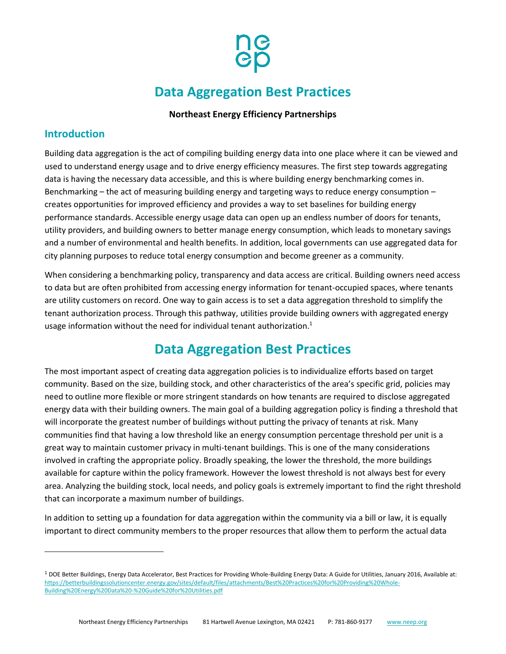

# **Data Aggregation Best Practices**

### **Northeast Energy Efficiency Partnerships**

### **Introduction**

 $\overline{a}$ 

Building data aggregation is the act of compiling building energy data into one place where it can be viewed and used to understand energy usage and to drive energy efficiency measures. The first step towards aggregating data is having the necessary data accessible, and this is where building energy benchmarking comes in. Benchmarking – the act of measuring building energy and targeting ways to reduce energy consumption – creates opportunities for improved efficiency and provides a way to set baselines for building energy performance standards. Accessible energy usage data can open up an endless number of doors for tenants, utility providers, and building owners to better manage energy consumption, which leads to monetary savings and a number of environmental and health benefits. In addition, local governments can use aggregated data for city planning purposes to reduce total energy consumption and become greener as a community.

When considering a benchmarking policy, transparency and data access are critical. Building owners need access to data but are often prohibited from accessing energy information for tenant-occupied spaces, where tenants are utility customers on record. One way to gain access is to set a data aggregation threshold to simplify the tenant authorization process. Through this pathway, utilities provide building owners with aggregated energy usage information without the need for individual tenant authorization. 1

### **Data Aggregation Best Practices**

The most important aspect of creating data aggregation policies is to individualize efforts based on target community. Based on the size, building stock, and other characteristics of the area's specific grid, policies may need to outline more flexible or more stringent standards on how tenants are required to disclose aggregated energy data with their building owners. The main goal of a building aggregation policy is finding a threshold that will incorporate the greatest number of buildings without putting the privacy of tenants at risk. Many communities find that having a low threshold like an energy consumption percentage threshold per unit is a great way to maintain customer privacy in multi-tenant buildings. This is one of the many considerations involved in crafting the appropriate policy. Broadly speaking, the lower the threshold, the more buildings available for capture within the policy framework. However the lowest threshold is not always best for every area. Analyzing the building stock, local needs, and policy goals is extremely important to find the right threshold that can incorporate a maximum number of buildings.

In addition to setting up a foundation for data aggregation within the community via a bill or law, it is equally important to direct community members to the proper resources that allow them to perform the actual data

<sup>&</sup>lt;sup>1</sup> DOE Better Buildings, Energy Data Accelerator, Best Practices for Providing Whole-Building Energy Data: A Guide for Utilities, January 2016, Available at: [https://betterbuildingssolutioncenter.energy.gov/sites/default/files/attachments/Best%20Practices%20for%20Providing%20Whole-](https://betterbuildingssolutioncenter.energy.gov/sites/default/files/attachments/Best%20Practices%20for%20Providing%20Whole-Building%20Energy%20Data%20-%20Guide%20for%20Utilities.pdf)[Building%20Energy%20Data%20-%20Guide%20for%20Utilities.pdf](https://betterbuildingssolutioncenter.energy.gov/sites/default/files/attachments/Best%20Practices%20for%20Providing%20Whole-Building%20Energy%20Data%20-%20Guide%20for%20Utilities.pdf)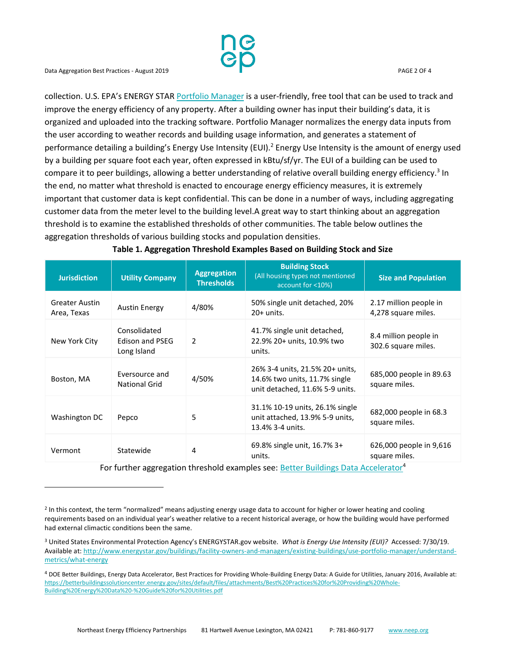l

collection. U.S. EPA's ENERGY STAR [Portfolio Manager](https://www.energystar.gov/buildings/facility-owners-and-managers/existing-buildings/use-portfolio-manager) is a user-friendly, free tool that can be used to track and improve the energy efficiency of any property. After a building owner has input their building's data, it is organized and uploaded into the tracking software. Portfolio Manager normalizes the energy data inputs from the user according to weather records and building usage information, and generates a statement of performance detailing a building's Energy Use Intensity (EUI).<sup>2</sup> Energy Use Intensity is the amount of energy used by a building per square foot each year, often expressed in kBtu/sf/yr. The EUI of a building can be used to compare it to peer buildings, allowing a better understanding of relative overall building energy efficiency.<sup>3</sup> In the end, no matter what threshold is enacted to encourage energy efficiency measures, it is extremely important that customer data is kept confidential. This can be done in a number of ways, including aggregating customer data from the meter level to the building level.A great way to start thinking about an aggregation threshold is to examine the established thresholds of other communities. The table below outlines the aggregation thresholds of various building stocks and population densities.

| <b>Jurisdiction</b>                  | <b>Utility Company</b>                         | <b>Aggregation</b><br><b>Thresholds</b> | <b>Building Stock</b><br>(All housing types not mentioned<br>account for <10%)                      | <b>Size and Population</b>                    |
|--------------------------------------|------------------------------------------------|-----------------------------------------|-----------------------------------------------------------------------------------------------------|-----------------------------------------------|
| <b>Greater Austin</b><br>Area, Texas | <b>Austin Energy</b>                           | 4/80%                                   | 50% single unit detached, 20%<br>$20+$ units.                                                       | 2.17 million people in<br>4,278 square miles. |
| New York City                        | Consolidated<br>Edison and PSEG<br>Long Island | 2                                       | 41.7% single unit detached,<br>22.9% 20+ units, 10.9% two<br>units.                                 | 8.4 million people in<br>302.6 square miles.  |
| Boston, MA                           | Eversource and<br><b>National Grid</b>         | 4/50%                                   | 26% 3-4 units, 21.5% 20+ units,<br>14.6% two units, 11.7% single<br>unit detached, 11.6% 5-9 units. | 685,000 people in 89.63<br>square miles.      |
| Washington DC                        | Pepco                                          | 5                                       | 31.1% 10-19 units, 26.1% single<br>unit attached, 13.9% 5-9 units,<br>13.4% 3-4 units.              | 682,000 people in 68.3<br>square miles.       |
| Vermont                              | Statewide                                      | 4                                       | 69.8% single unit, 16.7% 3+<br>units.                                                               | 626,000 people in 9,616<br>square miles.      |

#### **Table 1. Aggregation Threshold Examples Based on Building Stock and Size**

For further aggregation threshold examples see: [Better Buildings Data Accelerator](https://betterbuildingsinitiative.energy.gov/sites/default/files/attachments/Guide%20to%20Data%20Access%20and%20Customer%20Confidentiality_0.pdf)<sup>4</sup>

<sup>&</sup>lt;sup>2</sup> In this context, the term "normalized" means adjusting energy usage data to account for higher or lower heating and cooling requirements based on an individual year's weather relative to a recent historical average, or how the building would have performed had external climactic conditions been the same.

<sup>3</sup> United States Environmental Protection Agency's ENERGYSTAR.gov website. *What is Energy Use Intensity (EUI)?* Accessed: 7/30/19. Available at[: http://www.energystar.gov/buildings/facility-owners-and-managers/existing-buildings/use-portfolio-manager/understand](http://www.energystar.gov/buildings/facility-owners-and-managers/existing-buildings/use-portfolio-manager/understand-metrics/what-energy)[metrics/what-energy](http://www.energystar.gov/buildings/facility-owners-and-managers/existing-buildings/use-portfolio-manager/understand-metrics/what-energy)

<sup>4</sup> DOE Better Buildings, Energy Data Accelerator, Best Practices for Providing Whole-Building Energy Data: A Guide for Utilities, January 2016, Available at: [https://betterbuildingssolutioncenter.energy.gov/sites/default/files/attachments/Best%20Practices%20for%20Providing%20Whole-](https://betterbuildingssolutioncenter.energy.gov/sites/default/files/attachments/Best%20Practices%20for%20Providing%20Whole-Building%20Energy%20Data%20-%20Guide%20for%20Utilities.pdf)[Building%20Energy%20Data%20-%20Guide%20for%20Utilities.pdf](https://betterbuildingssolutioncenter.energy.gov/sites/default/files/attachments/Best%20Practices%20for%20Providing%20Whole-Building%20Energy%20Data%20-%20Guide%20for%20Utilities.pdf)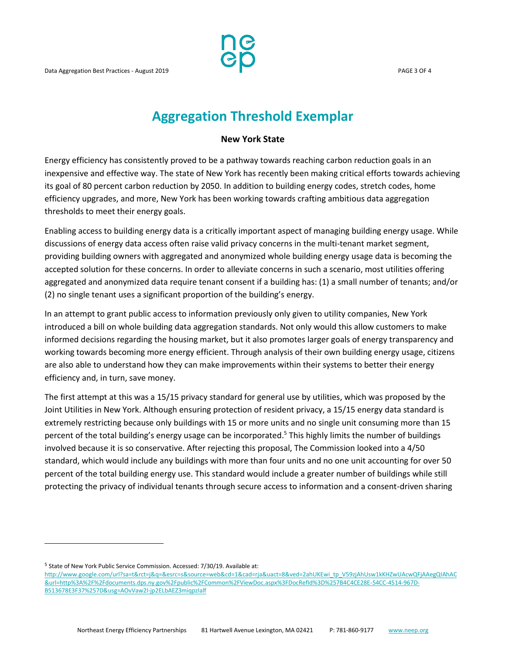

## **Aggregation Threshold Exemplar**

#### **New York State**

Energy efficiency has consistently proved to be a pathway towards reaching carbon reduction goals in an inexpensive and effective way. The state of New York has recently been making critical efforts towards achieving its goal of 80 percent carbon reduction by 2050. In addition to building energy codes, stretch codes, home efficiency upgrades, and more, New York has been working towards crafting ambitious data aggregation thresholds to meet their energy goals.

Enabling access to building energy data is a critically important aspect of managing building energy usage. While discussions of energy data access often raise valid privacy concerns in the multi-tenant market segment, providing building owners with aggregated and anonymized whole building energy usage data is becoming the accepted solution for these concerns. In order to alleviate concerns in such a scenario, most utilities offering aggregated and anonymized data require tenant consent if a building has: (1) a small number of tenants; and/or (2) no single tenant uses a significant proportion of the building's energy.

In an attempt to grant public access to information previously only given to utility companies, New York introduced a bill on whole building data aggregation standards. Not only would this allow customers to make informed decisions regarding the housing market, but it also promotes larger goals of energy transparency and working towards becoming more energy efficient. Through analysis of their own building energy usage, citizens are also able to understand how they can make improvements within their systems to better their energy efficiency and, in turn, save money.

The first attempt at this was a 15/15 privacy standard for general use by utilities, which was proposed by the Joint Utilities in New York. Although ensuring protection of resident privacy, a 15/15 energy data standard is extremely restricting because only buildings with 15 or more units and no single unit consuming more than 15 percent of the total building's energy usage can be incorporated.<sup>5</sup> This highly limits the number of buildings involved because it is so conservative. After rejecting this proposal, The Commission looked into a 4/50 standard, which would include any buildings with more than four units and no one unit accounting for over 50 percent of the total building energy use. This standard would include a greater number of buildings while still protecting the privacy of individual tenants through secure access to information and a consent-driven sharing

<sup>5</sup> State of New York Public Service Commission. Accessed: 7/30/19. Available at:

 $\overline{a}$ 

[http://www.google.com/url?sa=t&rct=j&q=&esrc=s&source=web&cd=1&cad=rja&uact=8&ved=2ahUKEwi\\_tp\\_V59zjAhUsw1kKHZwUAcwQFjAAegQIAhAC](http://www.google.com/url?sa=t&rct=j&q=&esrc=s&source=web&cd=1&cad=rja&uact=8&ved=2ahUKEwi_tp_V59zjAhUsw1kKHZwUAcwQFjAAegQIAhAC&url=http%3A%2F%2Fdocuments.dps.ny.gov%2Fpublic%2FCommon%2FViewDoc.aspx%3FDocRefId%3D%257B4C4CE28E-54CC-4514-967D-B513678E3F37%257D&usg=AOvVaw2l-jp2ELbAEZ3miqpzIalf) [&url=http%3A%2F%2Fdocuments.dps.ny.gov%2Fpublic%2FCommon%2FViewDoc.aspx%3FDocRefId%3D%257B4C4CE28E-54CC-4514-967D-](http://www.google.com/url?sa=t&rct=j&q=&esrc=s&source=web&cd=1&cad=rja&uact=8&ved=2ahUKEwi_tp_V59zjAhUsw1kKHZwUAcwQFjAAegQIAhAC&url=http%3A%2F%2Fdocuments.dps.ny.gov%2Fpublic%2FCommon%2FViewDoc.aspx%3FDocRefId%3D%257B4C4CE28E-54CC-4514-967D-B513678E3F37%257D&usg=AOvVaw2l-jp2ELbAEZ3miqpzIalf)[B513678E3F37%257D&usg=AOvVaw2l-jp2ELbAEZ3miqpzIalf](http://www.google.com/url?sa=t&rct=j&q=&esrc=s&source=web&cd=1&cad=rja&uact=8&ved=2ahUKEwi_tp_V59zjAhUsw1kKHZwUAcwQFjAAegQIAhAC&url=http%3A%2F%2Fdocuments.dps.ny.gov%2Fpublic%2FCommon%2FViewDoc.aspx%3FDocRefId%3D%257B4C4CE28E-54CC-4514-967D-B513678E3F37%257D&usg=AOvVaw2l-jp2ELbAEZ3miqpzIalf)